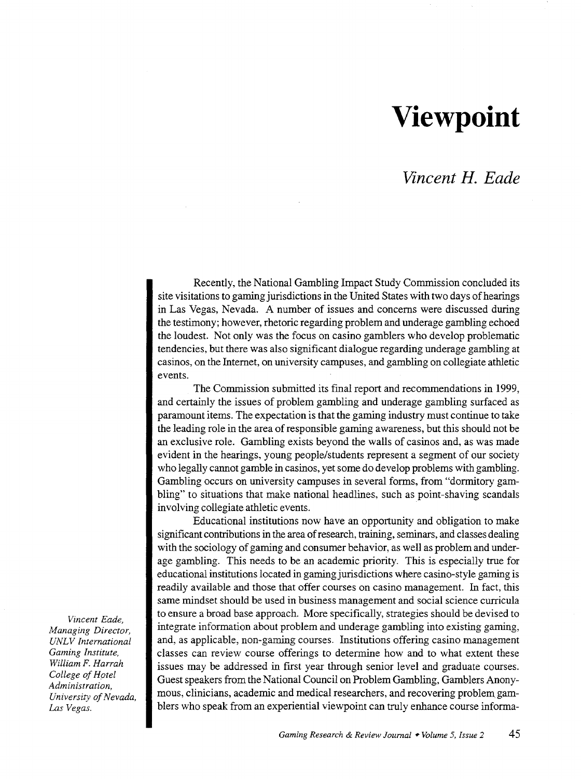## **Viewpoint**

## *Vincent H. Eade*

Recently, the National Gambling Impact Study Commission concluded its site visitations to gaming jurisdictions in the United States with two days of hearings in Las Vegas, Nevada. A number of issues and concerns were discussed during the testimony; however, rhetoric regarding problem and underage gambling echoed the loudest. Not only was the focus on casino gamblers who develop problematic tendencies, but there was also significant dialogue regarding underage gambling at casinos, on the Internet, on university campuses, and gambling on collegiate athletic events.

The Commission submitted its final report and recommendations in 1999, and certainly the issues of problem gambling and underage gambling surfaced as paramount items. The expectation is that the gaming industry must continue to take the leading role in the area of responsible gaming awareness, but this should not be an exclusive role. Gambling exists beyond the walls of casinos and, as was made evident in the hearings, young people/students represent a segment of our society who legally cannot gamble in casinos, yet some do develop problems with gambling. Gambling occurs on university campuses in several forms, from "dormitory gambling" to situations that make national headlines, such as point-shaving scandals involving collegiate athletic events.

Educational institutions now have an opportunity and obligation to make significant contributions in the area of research, training, seminars, and classes dealing with the sociology of gaming and consumer behavior, as well as problem and underage gambling. This needs to be an academic priority. This is especially true for educational institutions located in gaming jurisdictions where casino-style gaming is readily available and those that offer courses on casino management. In fact, this same mindset should be used in business management and social science curricula to ensure a broad base approach. More specifically, strategies should be devised to integrate information about problem and underage gambling into existing gaming, and, as applicable, non-gaming courses. Institutions offering casino management classes can review course offerings to determine how and to what extent these issues may be addressed in first year through senior level and graduate courses. Guest speakers from the National Council on Problem Gambling, Gamblers Anonymous, clinicians, academic and medical researchers, and recovering problem gamblers who speak from an experiential viewpoint can truly enhance course informa-

*Vincent Eade, Managing Director, UNL V International Gaming Institute, William F. Harrah College of Hotel Administration, University of Nevada, Las Vegas.*